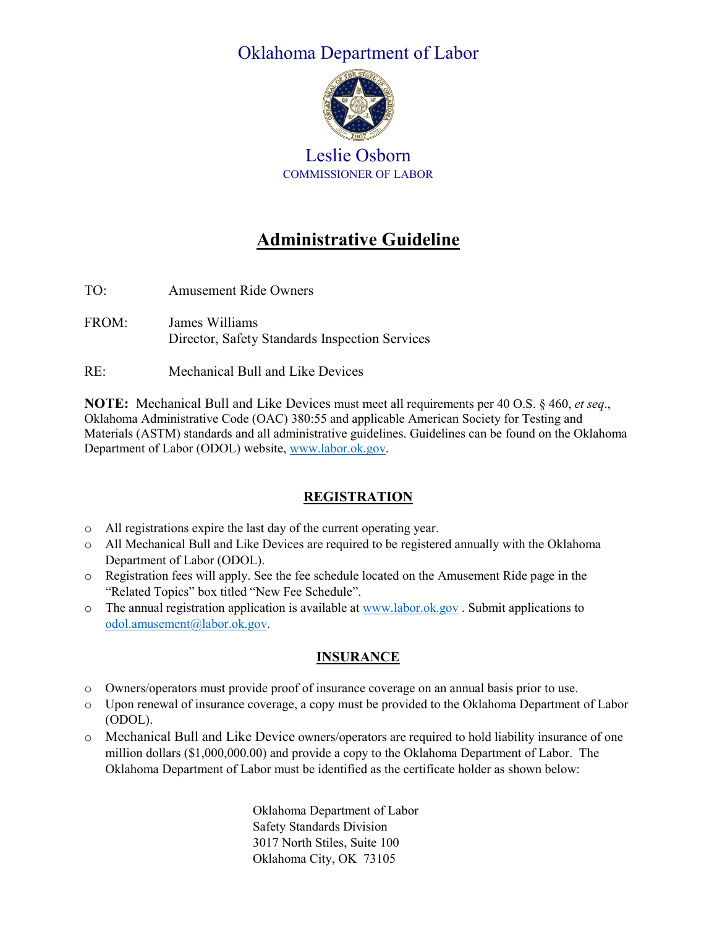# Oklahoma Department of Labor



Leslie Osborn COMMISSIONER OF LABOR

# **Administrative Guideline**

- TO: Amusement Ride Owners
- FROM: James Williams Director, Safety Standards Inspection Services
- RE: Mechanical Bull and Like Devices

**NOTE:** Mechanical Bull and Like Devices must meet all requirements per 40 O.S. § 460, *et seq*., Oklahoma Administrative Code (OAC) 380:55 and applicable American Society for Testing and Materials (ASTM) standards and all administrative guidelines. Guidelines can be found on the Oklahoma Department of Labor (ODOL) website, [www.labor.ok.gov.](http://www.labor.ok.gov/)

# **REGISTRATION**

- o All registrations expire the last day of the current operating year.
- o All Mechanical Bull and Like Devices are required to be registered annually with the Oklahoma Department of Labor (ODOL).
- o Registration fees will apply. See the fee schedule located on the Amusement Ride page in the "Related Topics" box titled "New Fee Schedule".
- $\circ$  The annual registration application is available a[t www.labor.ok.gov](http://www.labor.ok.gov/). Submit applications to [odol.amusement@labor.ok.gov.](mailto:odol.amusement@labor.ok.gov)

# **INSURANCE**

- o Owners/operators must provide proof of insurance coverage on an annual basis prior to use.
- o Upon renewal of insurance coverage, a copy must be provided to the Oklahoma Department of Labor (ODOL).
- o Mechanical Bull and Like Device owners/operators are required to hold liability insurance of one million dollars (\$1,000,000.00) and provide a copy to the Oklahoma Department of Labor. The Oklahoma Department of Labor must be identified as the certificate holder as shown below:

Oklahoma Department of Labor Safety Standards Division 3017 North Stiles, Suite 100 Oklahoma City, OK 73105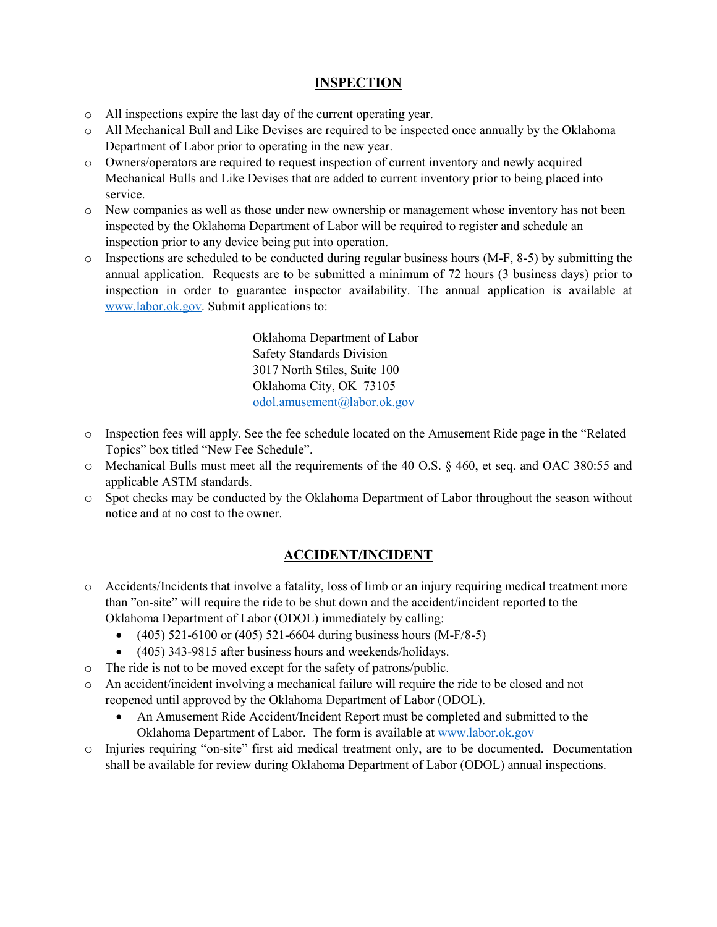### **INSPECTION**

- o All inspections expire the last day of the current operating year.
- o All Mechanical Bull and Like Devises are required to be inspected once annually by the Oklahoma Department of Labor prior to operating in the new year.
- o Owners/operators are required to request inspection of current inventory and newly acquired Mechanical Bulls and Like Devises that are added to current inventory prior to being placed into service.
- o New companies as well as those under new ownership or management whose inventory has not been inspected by the Oklahoma Department of Labor will be required to register and schedule an inspection prior to any device being put into operation.
- o Inspections are scheduled to be conducted during regular business hours (M-F, 8-5) by submitting the annual application. Requests are to be submitted a minimum of 72 hours (3 business days) prior to inspection in order to guarantee inspector availability. The annual application is available at [www.labor.ok.gov.](http://www.labor.ok.gov/) Submit applications to:

Oklahoma Department of Labor Safety Standards Division 3017 North Stiles, Suite 100 Oklahoma City, OK 73105 [odol.amusement@labor.ok.gov](mailto:odol.amusement@labor.ok.gov)

- o Inspection fees will apply. See the fee schedule located on the Amusement Ride page in the "Related Topics" box titled "New Fee Schedule".
- o Mechanical Bulls must meet all the requirements of the 40 O.S. § 460, et seq. and OAC 380:55 and applicable ASTM standards.
- o Spot checks may be conducted by the Oklahoma Department of Labor throughout the season without notice and at no cost to the owner.

#### **ACCIDENT/INCIDENT**

- o Accidents/Incidents that involve a fatality, loss of limb or an injury requiring medical treatment more than "on-site" will require the ride to be shut down and the accident/incident reported to the Oklahoma Department of Labor (ODOL) immediately by calling:
	- $(405)$  521-6100 or  $(405)$  521-6604 during business hours  $(M-F/8-5)$
	- (405) 343-9815 after business hours and weekends/holidays.
- o The ride is not to be moved except for the safety of patrons/public.
- o An accident/incident involving a mechanical failure will require the ride to be closed and not reopened until approved by the Oklahoma Department of Labor (ODOL).
	- An Amusement Ride Accident/Incident Report must be completed and submitted to the Oklahoma Department of Labor. The form is available at [www.labor.ok.gov](http://www.labor.ok.gov/)
- o Injuries requiring "on-site" first aid medical treatment only, are to be documented. Documentation shall be available for review during Oklahoma Department of Labor (ODOL) annual inspections.